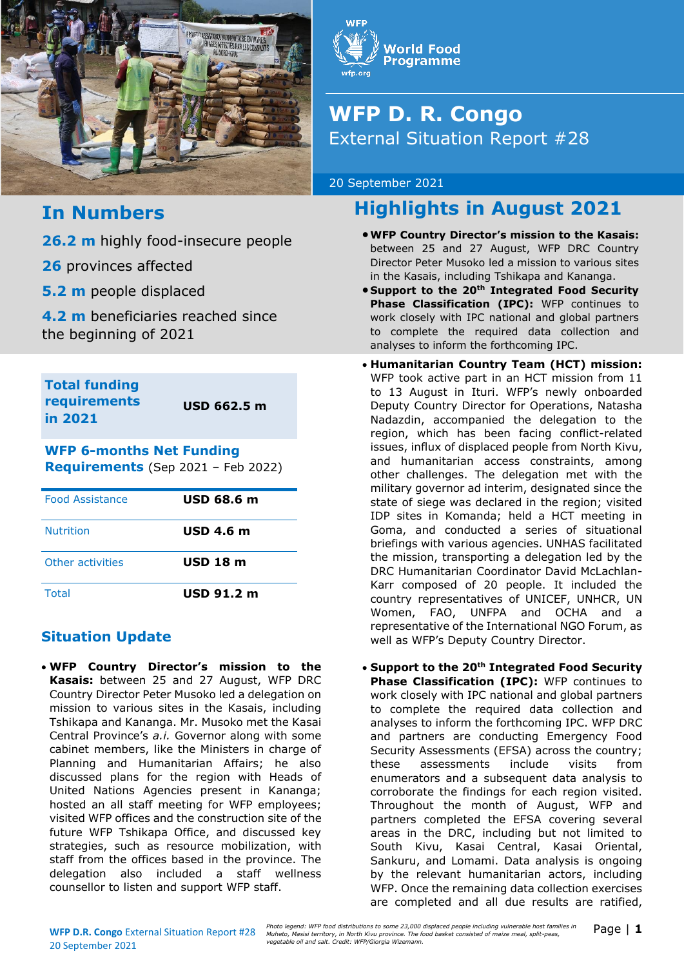



# **WFP D. R. Congo** External Situation Report #28

20 September 2021

# **Highlights in August 2021**

- •**WFP Country Director's mission to the Kasais:**  between 25 and 27 August, WFP DRC Country Director Peter Musoko led a mission to various sites in the Kasais, including Tshikapa and Kananga.
- **Support to the 20th Integrated Food Security Phase Classification (IPC):** WFP continues to work closely with IPC national and global partners to complete the required data collection and analyses to inform the forthcoming IPC.
- **Humanitarian Country Team (HCT) mission:**  WFP took active part in an HCT mission from 11 to 13 August in Ituri. WFP's newly onboarded Deputy Country Director for Operations, Natasha Nadazdin, accompanied the delegation to the region, which has been facing conflict-related issues, influx of displaced people from North Kivu, and humanitarian access constraints, among other challenges. The delegation met with the military governor ad interim, designated since the state of siege was declared in the region; visited IDP sites in Komanda; held a HCT meeting in Goma, and conducted a series of situational briefings with various agencies. UNHAS facilitated the mission, transporting a delegation led by the DRC Humanitarian Coordinator David McLachlan-Karr composed of 20 people. It included the country representatives of UNICEF, UNHCR, UN Women, FAO, UNFPA and OCHA and a representative of the International NGO Forum, as well as WFP's Deputy Country Director.
- **Support to the 20th Integrated Food Security Phase Classification (IPC):** WFP continues to work closely with IPC national and global partners to complete the required data collection and analyses to inform the forthcoming IPC. WFP DRC and partners are conducting Emergency Food Security Assessments (EFSA) across the country; these assessments include visits from enumerators and a subsequent data analysis to corroborate the findings for each region visited. Throughout the month of August, WFP and partners completed the EFSA covering several areas in the DRC, including but not limited to South Kivu, Kasai Central, Kasai Oriental, Sankuru, and Lomami. Data analysis is ongoing by the relevant humanitarian actors, including WFP. Once the remaining data collection exercises are completed and all due results are ratified,

## **In Numbers**

**26.2 m** highly food-insecure people

**26** provinces affected

**5.2 m** people displaced

**4.2 m** beneficiaries reached since the beginning of 2021

**Total funding requirements in 2021**

**USD 662.5 m**

## **WFP 6-months Net Funding**

**Requirements** (Sep 2021 – Feb 2022)

| <b>Food Assistance</b> | USD 68.6 m      |
|------------------------|-----------------|
| <b>Nutrition</b>       | USD 4.6 m       |
| Other activities       | <b>USD 18 m</b> |
| Total                  | $USD$ 91.2 m    |

## **Situation Update**

• **WFP Country Director's mission to the Kasais:** between 25 and 27 August, WFP DRC Country Director Peter Musoko led a delegation on mission to various sites in the Kasais, including Tshikapa and Kananga. Mr. Musoko met the Kasai Central Province's *a.i.* Governor along with some cabinet members, like the Ministers in charge of Planning and Humanitarian Affairs; he also discussed plans for the region with Heads of United Nations Agencies present in Kananga; hosted an all staff meeting for WFP employees; visited WFP offices and the construction site of the future WFP Tshikapa Office, and discussed key strategies, such as resource mobilization, with staff from the offices based in the province. The delegation also included a staff wellness counsellor to listen and support WFP staff.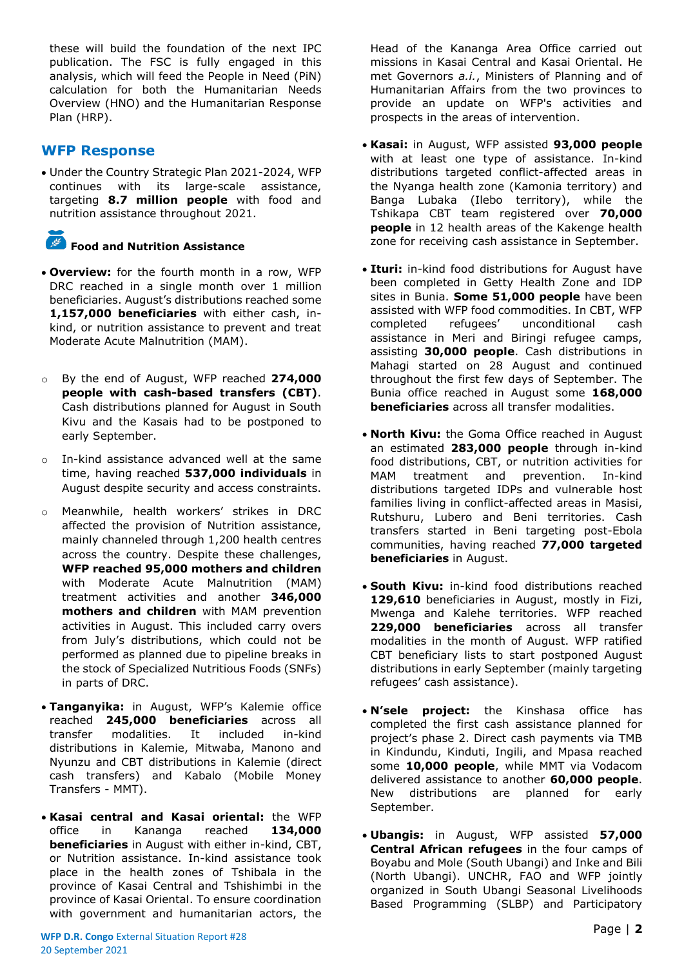these will build the foundation of the next IPC publication. The FSC is fully engaged in this analysis, which will feed the People in Need (PiN) calculation for both the Humanitarian Needs Overview (HNO) and the Humanitarian Response Plan (HRP).

### **WFP Response**

• Under the Country Strategic Plan 2021-2024, WFP continues with its large-scale assistance, targeting **8.7 million people** with food and nutrition assistance throughout 2021.

## **Food and Nutrition Assistance**

- **Overview:** for the fourth month in a row, WFP DRC reached in a single month over 1 million beneficiaries. August's distributions reached some **1,157,000 beneficiaries** with either cash, inkind, or nutrition assistance to prevent and treat Moderate Acute Malnutrition (MAM).
- o By the end of August, WFP reached **274,000 people with cash-based transfers (CBT)**. Cash distributions planned for August in South Kivu and the Kasais had to be postponed to early September.
- o In-kind assistance advanced well at the same time, having reached **537,000 individuals** in August despite security and access constraints.
- Meanwhile, health workers' strikes in DRC affected the provision of Nutrition assistance, mainly channeled through 1,200 health centres across the country. Despite these challenges, **WFP reached 95,000 mothers and children**  with Moderate Acute Malnutrition (MAM) treatment activities and another **346,000 mothers and children** with MAM prevention activities in August. This included carry overs from July's distributions, which could not be performed as planned due to pipeline breaks in the stock of Specialized Nutritious Foods (SNFs) in parts of DRC.
- **Tanganyika:** in August, WFP's Kalemie office reached **245,000 beneficiaries** across all transfer modalities. It included in-kind distributions in Kalemie, Mitwaba, Manono and Nyunzu and CBT distributions in Kalemie (direct cash transfers) and Kabalo (Mobile Money Transfers - MMT).
- **Kasai central and Kasai oriental:** the WFP office in Kananga reached **134,000 beneficiaries** in August with either in-kind, CBT, or Nutrition assistance. In-kind assistance took place in the health zones of Tshibala in the province of Kasai Central and Tshishimbi in the province of Kasai Oriental. To ensure coordination with government and humanitarian actors, the

Head of the Kananga Area Office carried out missions in Kasai Central and Kasai Oriental. He met Governors *a.i.*, Ministers of Planning and of Humanitarian Affairs from the two provinces to provide an update on WFP's activities and prospects in the areas of intervention.

- **Kasai:** in August, WFP assisted **93,000 people**  with at least one type of assistance. In-kind distributions targeted conflict-affected areas in the Nyanga health zone (Kamonia territory) and Banga Lubaka (Ilebo territory), while the Tshikapa CBT team registered over **70,000 people** in 12 health areas of the Kakenge health zone for receiving cash assistance in September.
- **Ituri:** in-kind food distributions for August have been completed in Getty Health Zone and IDP sites in Bunia. **Some 51,000 people** have been assisted with WFP food commodities. In CBT, WFP completed refugees' unconditional cash assistance in Meri and Biringi refugee camps, assisting **30,000 people**. Cash distributions in Mahagi started on 28 August and continued throughout the first few days of September. The Bunia office reached in August some **168,000 beneficiaries** across all transfer modalities.
- **North Kivu:** the Goma Office reached in August an estimated **283,000 people** through in-kind food distributions, CBT, or nutrition activities for MAM treatment and prevention. In-kind distributions targeted IDPs and vulnerable host families living in conflict-affected areas in Masisi, Rutshuru, Lubero and Beni territories. Cash transfers started in Beni targeting post-Ebola communities, having reached **77,000 targeted beneficiaries** in August.
- **South Kivu:** in-kind food distributions reached **129,610** beneficiaries in August, mostly in Fizi, Mwenga and Kalehe territories. WFP reached **229,000 beneficiaries** across all transfer modalities in the month of August. WFP ratified CBT beneficiary lists to start postponed August distributions in early September (mainly targeting refugees' cash assistance).
- **N'sele project:** the Kinshasa office has completed the first cash assistance planned for project's phase 2. Direct cash payments via TMB in Kindundu, Kinduti, Ingili, and Mpasa reached some **10,000 people**, while MMT via Vodacom delivered assistance to another **60,000 people**. New distributions are planned for early September.
- **Ubangis:** in August, WFP assisted **57,000 Central African refugees** in the four camps of Boyabu and Mole (South Ubangi) and Inke and Bili (North Ubangi). UNCHR, FAO and WFP jointly organized in South Ubangi Seasonal Livelihoods Based Programming (SLBP) and Participatory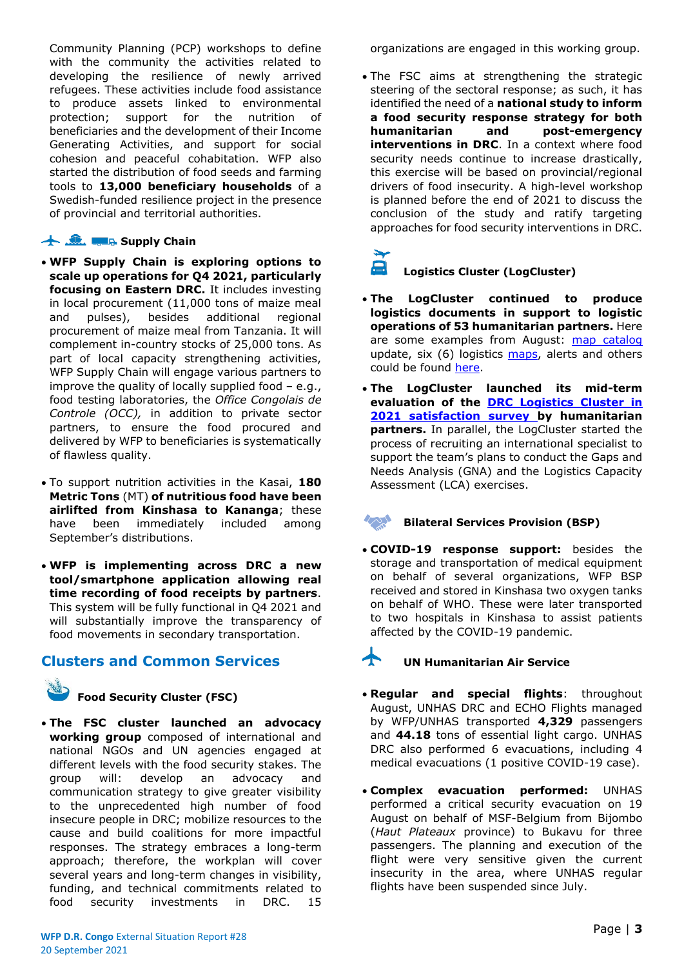Community Planning (PCP) workshops to define with the community the activities related to developing the resilience of newly arrived refugees. These activities include food assistance to produce assets linked to environmental protection; support for the nutrition of beneficiaries and the development of their Income Generating Activities, and support for social cohesion and peaceful cohabitation. WFP also started the distribution of food seeds and farming tools to **13,000 beneficiary households** of a Swedish-funded resilience project in the presence of provincial and territorial authorities.

#### **Supply Chain**

- **WFP Supply Chain is exploring options to scale up operations for Q4 2021, particularly focusing on Eastern DRC.** It includes investing in local procurement (11,000 tons of maize meal and pulses), besides additional regional procurement of maize meal from Tanzania. It will complement in-country stocks of 25,000 tons. As part of local capacity strengthening activities, WFP Supply Chain will engage various partners to improve the quality of locally supplied food – e.g., food testing laboratories, the *Office Congolais de Controle (OCC),* in addition to private sector partners, to ensure the food procured and delivered by WFP to beneficiaries is systematically of flawless quality.
- To support nutrition activities in the Kasai, **180 Metric Tons** (MT) **of nutritious food have been airlifted from Kinshasa to Kananga**; these have been immediately included among September's distributions.
- **WFP is implementing across DRC a new tool/smartphone application allowing real time recording of food receipts by partners**. This system will be fully functional in Q4 2021 and will substantially improve the transparency of food movements in secondary transportation.

#### **Clusters and Common Services**

**Food Security Cluster (FSC)**

• **The FSC cluster launched an advocacy working group** composed of international and national NGOs and UN agencies engaged at different levels with the food security stakes. The group will: develop an advocacy and communication strategy to give greater visibility to the unprecedented high number of food insecure people in DRC; mobilize resources to the cause and build coalitions for more impactful responses. The strategy embraces a long-term approach; therefore, the workplan will cover several years and long-term changes in visibility, funding, and technical commitments related to food security investments in DRC. 15

organizations are engaged in this working group.

• The FSC aims at strengthening the strategic steering of the sectoral response; as such, it has identified the need of a **national study to inform a food security response strategy for both humanitarian and post-emergency interventions in DRC**. In a context where food security needs continue to increase drastically, this exercise will be based on provincial/regional drivers of food insecurity. A high-level workshop is planned before the end of 2021 to discuss the conclusion of the study and ratify targeting approaches for food security interventions in DRC.

#### **Logistics Cluster (LogCluster)**

- **The LogCluster continued to produce logistics documents in support to logistic operations of 53 humanitarian partners.** Here are some examples from August: [map catalog](https://eur03.safelinks.protection.outlook.com/?url=https%3A%2F%2Flogcluster.org%2Fdocument%2Frdc-cluster-logistique-catalogue-des-cartes-juillet-2021&data=04%7C01%7Cleonardo.dasilveira%40wfp.org%7Cd6d331ac56204c42d60308d973c39fe2%7C462ad9aed7d94206b87471b1e079776f%7C0%7C0%7C637668106304237045%7CUnknown%7CTWFpbGZsb3d8eyJWIjoiMC4wLjAwMDAiLCJQIjoiV2luMzIiLCJBTiI6Ik1haWwiLCJXVCI6Mn0%3D%7C1000&sdata=%2BcifxjlThbwwMRiyPRxMXlVlLxVAu34Un1RYBevDTkI%3D&reserved=0) update, six (6) logistics [maps,](https://eur03.safelinks.protection.outlook.com/?url=https%3A%2F%2Flogcluster.org%2Fsearch-page%3Ff%255B0%255D%3Ddocument_type%253A833%26f%255B1%255D%3Doperation%253A67%26f%255B2%255D%3Dsearch_month%253A2021-08&data=04%7C01%7Cleonardo.dasilveira%40wfp.org%7Cd6d331ac56204c42d60308d973c39fe2%7C462ad9aed7d94206b87471b1e079776f%7C0%7C0%7C637668106304246998%7CUnknown%7CTWFpbGZsb3d8eyJWIjoiMC4wLjAwMDAiLCJQIjoiV2luMzIiLCJBTiI6Ik1haWwiLCJXVCI6Mn0%3D%7C1000&sdata=IMMYBwY56rcAN%2BmjUQrVk3S9gM7O0RLMrwAibBnPqIs%3D&reserved=0) alerts and others could be found [here.](https://eur03.safelinks.protection.outlook.com/?url=https%3A%2F%2Flogcluster.org%2Fops%2Fdrc&data=04%7C01%7Cleonardo.dasilveira%40wfp.org%7Cd6d331ac56204c42d60308d973c39fe2%7C462ad9aed7d94206b87471b1e079776f%7C0%7C0%7C637668106304246998%7CUnknown%7CTWFpbGZsb3d8eyJWIjoiMC4wLjAwMDAiLCJQIjoiV2luMzIiLCJBTiI6Ik1haWwiLCJXVCI6Mn0%3D%7C1000&sdata=pvt7Tln5XTHfS3onpSlPlMQk0EqSUd1skfud1EMKZyg%3D&reserved=0)
- **The LogCluster launched its mid-term evaluation of the [DRC Logistics Cluster in](https://eur03.safelinks.protection.outlook.com/?url=https%3A%2F%2Fenketo.moda.wfp.org%2Fsingle%2F3c72c93f144df182564955f00a0cd7a6&data=04%7C01%7Cleonardo.dasilveira%40wfp.org%7Cd6d331ac56204c42d60308d973c39fe2%7C462ad9aed7d94206b87471b1e079776f%7C0%7C0%7C637668106304256954%7CUnknown%7CTWFpbGZsb3d8eyJWIjoiMC4wLjAwMDAiLCJQIjoiV2luMzIiLCJBTiI6Ik1haWwiLCJXVCI6Mn0%3D%7C1000&sdata=bWmTv64DyIBI7ZFIWxTV%2FSoDRHVLTigQhIJuIoG4k5k%3D&reserved=0)  [2021 satisfaction survey b](https://eur03.safelinks.protection.outlook.com/?url=https%3A%2F%2Fenketo.moda.wfp.org%2Fsingle%2F3c72c93f144df182564955f00a0cd7a6&data=04%7C01%7Cleonardo.dasilveira%40wfp.org%7Cd6d331ac56204c42d60308d973c39fe2%7C462ad9aed7d94206b87471b1e079776f%7C0%7C0%7C637668106304256954%7CUnknown%7CTWFpbGZsb3d8eyJWIjoiMC4wLjAwMDAiLCJQIjoiV2luMzIiLCJBTiI6Ik1haWwiLCJXVCI6Mn0%3D%7C1000&sdata=bWmTv64DyIBI7ZFIWxTV%2FSoDRHVLTigQhIJuIoG4k5k%3D&reserved=0)y humanitarian partners.** In parallel, the LogCluster started the process of recruiting an international specialist to support the team's plans to conduct the Gaps and Needs Analysis (GNA) and the Logistics Capacity Assessment (LCA) exercises.

#### **Bilateral Services Provision (BSP)**

• **COVID-19 response support:** besides the storage and transportation of medical equipment on behalf of several organizations, WFP BSP received and stored in Kinshasa two oxygen tanks on behalf of WHO. These were later transported to two hospitals in Kinshasa to assist patients affected by the COVID-19 pandemic.

### **UN Humanitarian Air Service**

- **Regular and special flights**: throughout August, UNHAS DRC and ECHO Flights managed by WFP/UNHAS transported **4,329** passengers and **44.18** tons of essential light cargo. UNHAS DRC also performed 6 evacuations, including 4 medical evacuations (1 positive COVID-19 case).
- **Complex evacuation performed:** UNHAS performed a critical security evacuation on 19 August on behalf of MSF-Belgium from Bijombo (*Haut Plateaux* province) to Bukavu for three passengers. The planning and execution of the flight were very sensitive given the current insecurity in the area, where UNHAS regular flights have been suspended since July.